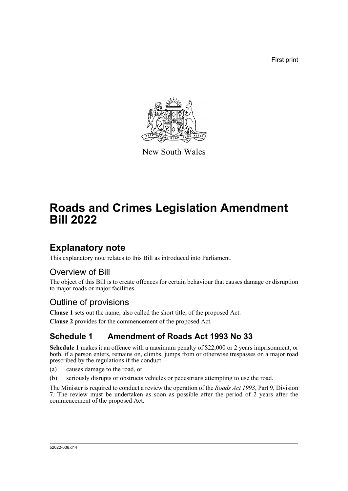First print



New South Wales

# **Roads and Crimes Legislation Amendment Bill 2022**

## **Explanatory note**

This explanatory note relates to this Bill as introduced into Parliament.

### Overview of Bill

The object of this Bill is to create offences for certain behaviour that causes damage or disruption to major roads or major facilities.

### Outline of provisions

**Clause 1** sets out the name, also called the short title, of the proposed Act.

**Clause 2** provides for the commencement of the proposed Act.

### **Schedule 1 Amendment of Roads Act 1993 No 33**

**Schedule 1** makes it an offence with a maximum penalty of \$22,000 or 2 years imprisonment, or both, if a person enters, remains on, climbs, jumps from or otherwise trespasses on a major road prescribed by the regulations if the conduct—

- (a) causes damage to the road, or
- (b) seriously disrupts or obstructs vehicles or pedestrians attempting to use the road.

The Minister is required to conduct a review the operation of the *Roads Act 1993*, Part 9, Division 7. The review must be undertaken as soon as possible after the period of 2 years after the commencement of the proposed Act.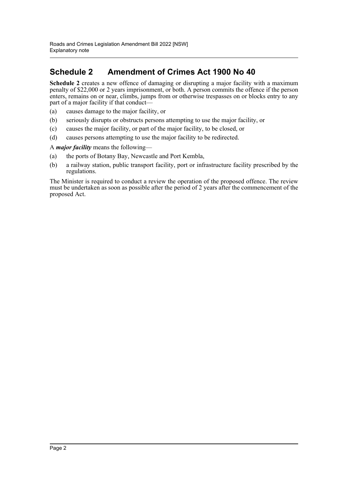### **Schedule 2 Amendment of Crimes Act 1900 No 40**

**Schedule 2** creates a new offence of damaging or disrupting a major facility with a maximum penalty of \$22,000 or 2 years imprisonment, or both. A person commits the offence if the person enters, remains on or near, climbs, jumps from or otherwise trespasses on or blocks entry to any part of a major facility if that conduct—

- (a) causes damage to the major facility, or
- (b) seriously disrupts or obstructs persons attempting to use the major facility, or
- (c) causes the major facility, or part of the major facility, to be closed, or
- (d) causes persons attempting to use the major facility to be redirected.

#### A *major facility* means the following—

- (a) the ports of Botany Bay, Newcastle and Port Kembla,
- (b) a railway station, public transport facility, port or infrastructure facility prescribed by the regulations.

The Minister is required to conduct a review the operation of the proposed offence. The review must be undertaken as soon as possible after the period of 2 years after the commencement of the proposed Act.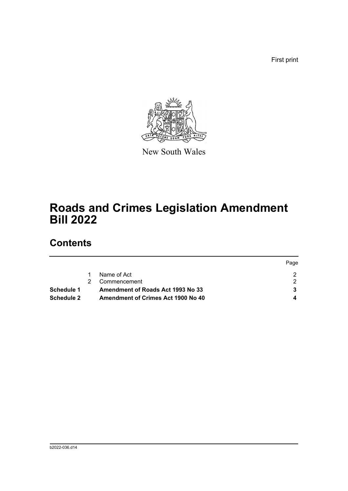First print



New South Wales

# **Roads and Crimes Legislation Amendment Bill 2022**

## **Contents**

|                   |                                    | Page |
|-------------------|------------------------------------|------|
|                   | Name of Act                        |      |
|                   | Commencement                       |      |
| Schedule 1        | Amendment of Roads Act 1993 No 33  |      |
| <b>Schedule 2</b> | Amendment of Crimes Act 1900 No 40 |      |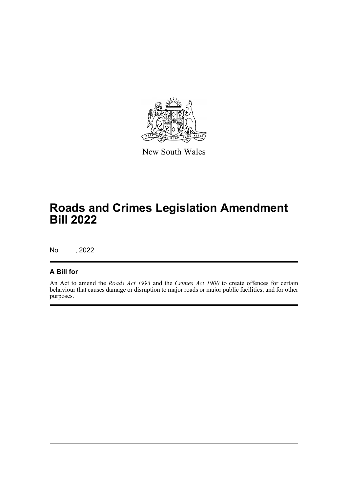

New South Wales

## **Roads and Crimes Legislation Amendment Bill 2022**

No , 2022

#### **A Bill for**

An Act to amend the *Roads Act 1993* and the *Crimes Act 1900* to create offences for certain behaviour that causes damage or disruption to major roads or major public facilities; and for other purposes.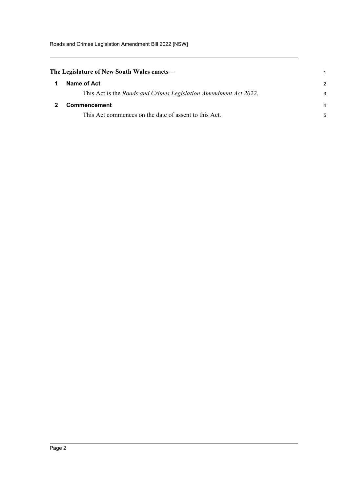Roads and Crimes Legislation Amendment Bill 2022 [NSW]

<span id="page-4-1"></span><span id="page-4-0"></span>

| The Legislature of New South Wales enacts— |                                                                          |               |
|--------------------------------------------|--------------------------------------------------------------------------|---------------|
|                                            | Name of Act                                                              | $\mathcal{P}$ |
|                                            | This Act is the <i>Roads and Crimes Legislation Amendment Act 2022</i> . | 3             |
|                                            | <b>Commencement</b>                                                      | 4             |
|                                            | This Act commences on the date of assent to this Act.                    | 5             |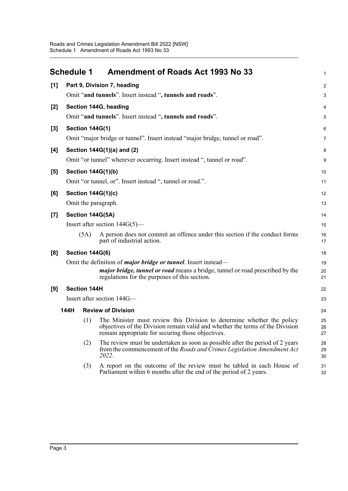<span id="page-5-0"></span>

|                                    | <b>Schedule 1</b>                                         |                                                                         | <b>Amendment of Roads Act 1993 No 33</b>                                                                                                                                                                     | $\mathbf{1}$   |
|------------------------------------|-----------------------------------------------------------|-------------------------------------------------------------------------|--------------------------------------------------------------------------------------------------------------------------------------------------------------------------------------------------------------|----------------|
| [1]<br>Part 9, Division 7, heading |                                                           |                                                                         |                                                                                                                                                                                                              | $\overline{c}$ |
|                                    | Omit "and tunnels". Insert instead ", tunnels and roads". |                                                                         |                                                                                                                                                                                                              |                |
| $[2]$                              |                                                           |                                                                         | Section 144G, heading                                                                                                                                                                                        | 4              |
|                                    |                                                           |                                                                         | Omit "and tunnels". Insert instead ", tunnels and roads".                                                                                                                                                    | 5              |
| $[3]$                              |                                                           | <b>Section 144G(1)</b>                                                  |                                                                                                                                                                                                              | 6              |
|                                    |                                                           |                                                                         | Omit "major bridge or tunnel". Insert instead "major bridge, tunnel or road".                                                                                                                                | $\overline{7}$ |
| [4]                                |                                                           |                                                                         | Section 144G(1)(a) and (2)                                                                                                                                                                                   | 8              |
|                                    |                                                           | Omit "or tunnel" wherever occurring. Insert instead ", tunnel or road". |                                                                                                                                                                                                              |                |
| [5]                                | <b>Section 144G(1)(b)</b>                                 |                                                                         |                                                                                                                                                                                                              |                |
|                                    |                                                           |                                                                         | Omit "or tunnel, or". Insert instead ", tunnel or road.".                                                                                                                                                    | 11             |
| [6]                                |                                                           |                                                                         | <b>Section 144G(1)(c)</b>                                                                                                                                                                                    | 12             |
|                                    |                                                           |                                                                         | Omit the paragraph.                                                                                                                                                                                          | 13             |
| $[7]$                              |                                                           |                                                                         | Section 144G(5A)                                                                                                                                                                                             | 14             |
|                                    |                                                           |                                                                         | Insert after section $144G(5)$ —                                                                                                                                                                             | 15             |
|                                    |                                                           | (5A)                                                                    | A person does not commit an offence under this section if the conduct forms<br>part of industrial action.                                                                                                    | 16<br>17       |
| [8]                                |                                                           | <b>Section 144G(6)</b>                                                  |                                                                                                                                                                                                              | 18             |
|                                    |                                                           |                                                                         | Omit the definition of <i>major bridge or tunnel</i> . Insert instead—                                                                                                                                       | 19             |
|                                    |                                                           |                                                                         | <i>major bridge, tunnel or road</i> means a bridge, tunnel or road prescribed by the<br>regulations for the purposes of this section.                                                                        | 20<br>21       |
| [9]                                |                                                           | <b>Section 144H</b>                                                     |                                                                                                                                                                                                              | 22             |
|                                    |                                                           |                                                                         | Insert after section 144G-                                                                                                                                                                                   | 23             |
|                                    | 144H                                                      |                                                                         | <b>Review of Division</b>                                                                                                                                                                                    | 24             |
|                                    |                                                           | (1)                                                                     | The Minister must review this Division to determine whether the policy<br>objectives of the Division remain valid and whether the terms of the Division<br>remain appropriate for securing those objectives. | 25<br>26<br>27 |
|                                    |                                                           | (2)                                                                     | The review must be undertaken as soon as possible after the period of 2 years<br>from the commencement of the Roads and Crimes Legislation Amendment Act<br>2022.                                            | 28<br>29<br>30 |
|                                    |                                                           | (3)                                                                     | A report on the outcome of the review must be tabled in each House of<br>Parliament within 6 months after the end of the period of 2 years.                                                                  | 31<br>32       |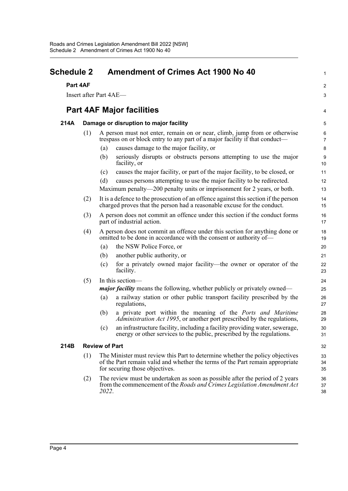<span id="page-6-0"></span>

| Schedule 2<br>Part 4AF |                                        | <b>Amendment of Crimes Act 1900 No 40</b>                                                                                                                                                        |                |                                  |
|------------------------|----------------------------------------|--------------------------------------------------------------------------------------------------------------------------------------------------------------------------------------------------|----------------|----------------------------------|
|                        |                                        |                                                                                                                                                                                                  |                | Insert after Part 4AE-           |
|                        |                                        |                                                                                                                                                                                                  |                | <b>Part 4AF Major facilities</b> |
| 214A                   | Damage or disruption to major facility |                                                                                                                                                                                                  |                |                                  |
|                        | (1)                                    | A person must not enter, remain on or near, climb, jump from or otherwise<br>trespass on or block entry to any part of a major facility if that conduct—                                         |                |                                  |
|                        |                                        | causes damage to the major facility, or<br>(a)                                                                                                                                                   | 8              |                                  |
|                        |                                        | seriously disrupts or obstructs persons attempting to use the major<br>(b)<br>facility, or                                                                                                       | 9<br>10        |                                  |
|                        |                                        | causes the major facility, or part of the major facility, to be closed, or<br>(c)                                                                                                                | 11             |                                  |
|                        |                                        | causes persons attempting to use the major facility to be redirected.<br>(d)                                                                                                                     | 12             |                                  |
|                        |                                        | Maximum penalty—200 penalty units or imprisonment for 2 years, or both.                                                                                                                          | 13             |                                  |
|                        | (2)                                    | It is a defence to the prosecution of an offence against this section if the person<br>charged proves that the person had a reasonable excuse for the conduct.                                   | 14<br>15       |                                  |
|                        | (3)                                    | A person does not commit an offence under this section if the conduct forms<br>part of industrial action.                                                                                        | 16<br>17       |                                  |
|                        | (4)                                    | A person does not commit an offence under this section for anything done or<br>omitted to be done in accordance with the consent or authority of-                                                | 18<br>19       |                                  |
|                        |                                        | the NSW Police Force, or<br>(a)                                                                                                                                                                  | 20             |                                  |
|                        |                                        | another public authority, or<br>(b)                                                                                                                                                              | 21             |                                  |
|                        |                                        | for a privately owned major facility—the owner or operator of the<br>(c)<br>facility.                                                                                                            | 22<br>23       |                                  |
|                        | (5)                                    | In this section-                                                                                                                                                                                 | 24             |                                  |
|                        |                                        | <i>major facility</i> means the following, whether publicly or privately owned—                                                                                                                  | 25             |                                  |
|                        |                                        | a railway station or other public transport facility prescribed by the<br>(a)<br>regulations,                                                                                                    | 26<br>27       |                                  |
|                        |                                        | a private port within the meaning of the Ports and Maritime<br>(b)<br>Administration Act 1995, or another port prescribed by the regulations,                                                    | 28<br>29       |                                  |
|                        |                                        | (c) an infrastructure facility, including a facility providing water, sewerage,<br>energy or other services to the public, prescribed by the regulations.                                        | 30<br>31       |                                  |
| 214B                   |                                        | <b>Review of Part</b>                                                                                                                                                                            | 32             |                                  |
|                        | (1)                                    | The Minister must review this Part to determine whether the policy objectives<br>of the Part remain valid and whether the terms of the Part remain appropriate<br>for securing those objectives. | 33<br>34<br>35 |                                  |
|                        | (2)                                    | The review must be undertaken as soon as possible after the period of 2 years<br>from the commencement of the Roads and Crimes Legislation Amendment Act<br>2022.                                | 36<br>37<br>38 |                                  |